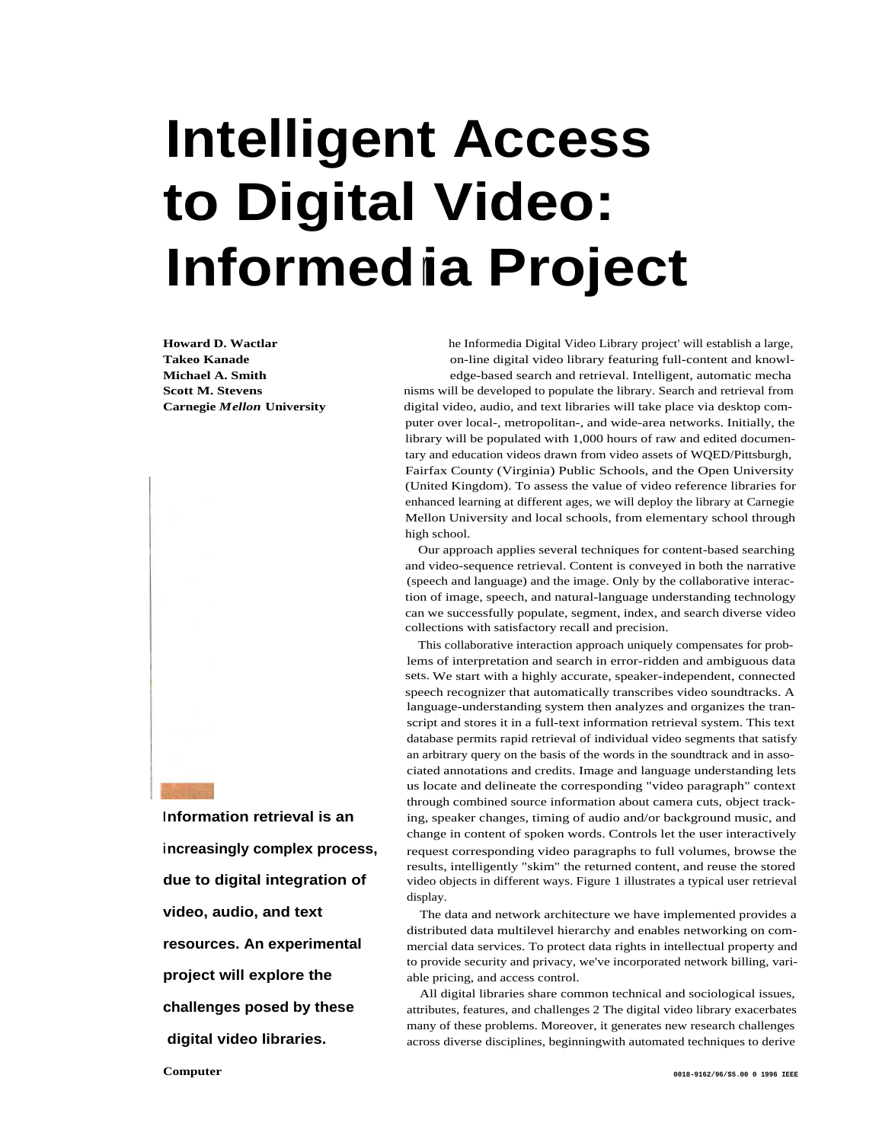# **Intelligent Access to Digital Video: Informedia Project**

**Howard D. Wactlar Takeo Kanade Michael A. Smith Scott M. Stevens Carnegie** *Mellon* **University**

**Information retrieval is an increasingly complex process, due to digital integration of video, audio, and text resources. An experimental project will explore the challenges posed by these digital video libraries.**

he Informedia Digital Video Library project' will establish a large, on-line digital video library featuring full-content and knowledge-based search and retrieval. Intelligent, automatic mecha nisms will be developed to populate the library. Search and retrieval from digital video, audio, and text libraries will take place via desktop computer over local-, metropolitan-, and wide-area networks. Initially, the library will be populated with 1,000 hours of raw and edited documentary and education videos drawn from video assets of WQED/Pittsburgh, Fairfax County (Virginia) Public Schools, and the Open University (United Kingdom). To assess the value of video reference libraries for enhanced learning at different ages, we will deploy the library at Carnegie Mellon University and local schools, from elementary school through high school.

Our approach applies several techniques for content-based searching and video-sequence retrieval. Content is conveyed in both the narrative (speech and language) and the image. Only by the collaborative interaction of image, speech, and natural-language understanding technology can we successfully populate, segment, index, and search diverse video collections with satisfactory recall and precision.

This collaborative interaction approach uniquely compensates for problems of interpretation and search in error-ridden and ambiguous data sets. We start with a highly accurate, speaker-independent, connected speech recognizer that automatically transcribes video soundtracks. A language-understanding system then analyzes and organizes the transcript and stores it in a full-text information retrieval system. This text database permits rapid retrieval of individual video segments that satisfy an arbitrary query on the basis of the words in the soundtrack and in associated annotations and credits. Image and language understanding lets us locate and delineate the corresponding "video paragraph" context through combined source information about camera cuts, object tracking, speaker changes, timing of audio and/or background music, and change in content of spoken words. Controls let the user interactively request corresponding video paragraphs to full volumes, browse the results, intelligently "skim" the returned content, and reuse the stored video objects in different ways. Figure 1 illustrates a typical user retrieval display.

The data and network architecture we have implemented provides a distributed data multilevel hierarchy and enables networking on commercial data services. To protect data rights in intellectual property and to provide security and privacy, we've incorporated network billing, variable pricing, and access control.

All digital libraries share common technical and sociological issues, attributes, features, and challenges 2 The digital video library exacerbates many of these problems. Moreover, it generates new research challenges across diverse disciplines, beginningwith automated techniques to derive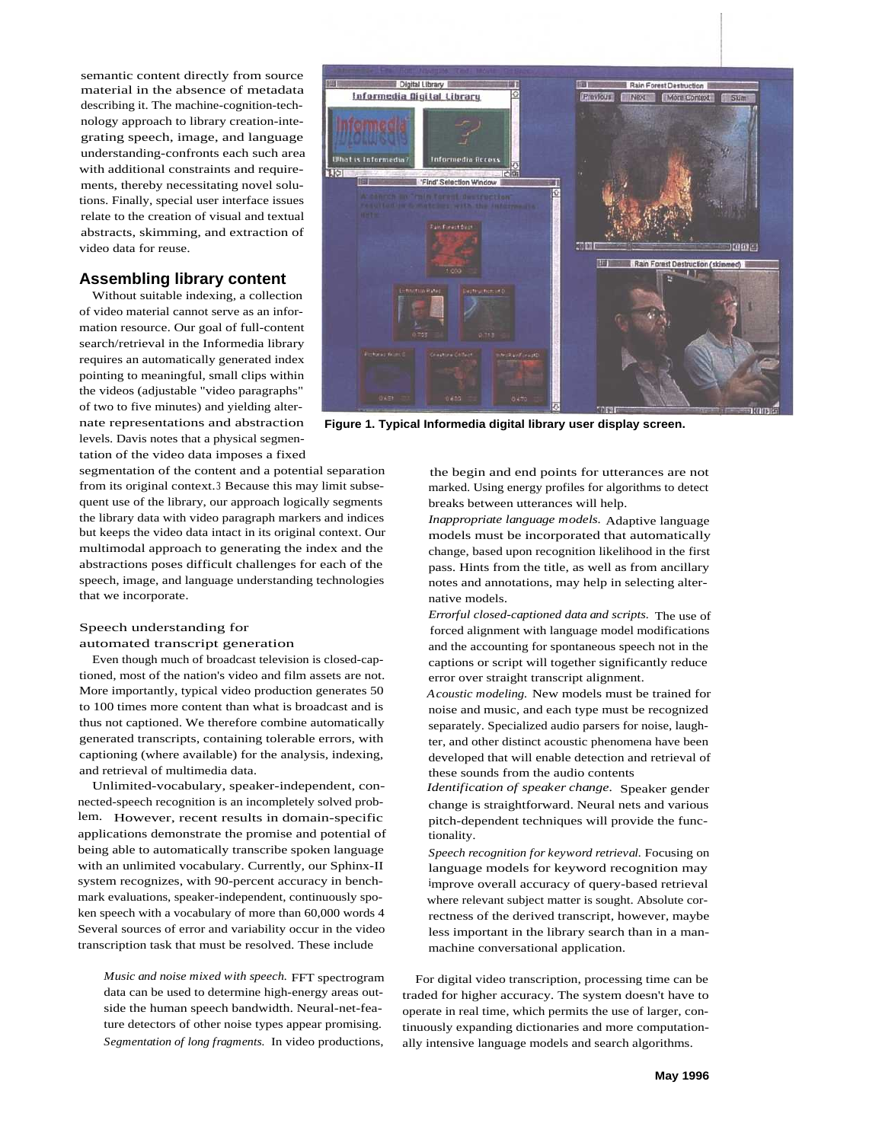semantic content directly from source material in the absence of metadata describing it. The machine-cognition-technology approach to library creation-integrating speech, image, and language understanding-confronts each such area with additional constraints and requirements, thereby necessitating novel solutions. Finally, special user interface issues relate to the creation of visual and textual abstracts, skimming, and extraction of video data for reuse.

# **Assembling library content**

Without suitable indexing, a collection of video material cannot serve as an information resource. Our goal of full-content search/retrieval in the Informedia library requires an automatically generated index pointing to meaningful, small clips within the videos (adjustable "video paragraphs" of two to five minutes) and yielding alternate representations and abstraction levels. Davis notes that a physical segmentation of the video data imposes a fixed

Digital Library Rain Forest Destruction Informedia Digital Library More Context four. **Trans** Rain Forest Destruction (skim (ber W Bir

**Figure 1. Typical Informedia digital library user display screen.**

segmentation of the content and a potential separation from its original context.3 Because this may limit subsequent use of the library, our approach logically segments the library data with video paragraph markers and indices but keeps the video data intact in its original context. Our multimodal approach to generating the index and the abstractions poses difficult challenges for each of the speech, image, and language understanding technologies that we incorporate.

# Speech understanding for

automated transcript generation

Even though much of broadcast television is closed-captioned, most of the nation's video and film assets are not. More importantly, typical video production generates 50 to 100 times more content than what is broadcast and is thus not captioned. We therefore combine automatically generated transcripts, containing tolerable errors, with captioning (where available) for the analysis, indexing, and retrieval of multimedia data.

Unlimited-vocabulary, speaker-independent, connected-speech recognition is an incompletely solved problem. However, recent results in domain-specific applications demonstrate the promise and potential of being able to automatically transcribe spoken language with an unlimited vocabulary. Currently, our Sphinx-II system recognizes, with 90-percent accuracy in benchmark evaluations, speaker-independent, continuously spoken speech with a vocabulary of more than 60,000 words 4 Several sources of error and variability occur in the video transcription task that must be resolved. These include

*Music and noise mixed with speech.* FFT spectrogram data can be used to determine high-energy areas outside the human speech bandwidth. Neural-net-feature detectors of other noise types appear promising. *Segmentation of long fragments.* In video productions,

the begin and end points for utterances are not marked. Using energy profiles for algorithms to detect breaks between utterances will help.

*Inappropriate language models.* Adaptive language models must be incorporated that automatically change, based upon recognition likelihood in the first pass. Hints from the title, as well as from ancillary notes and annotations, may help in selecting alternative models.

*Errorful closed-captioned data and scripts.* The use of forced alignment with language model modifications and the accounting for spontaneous speech not in the captions or script will together significantly reduce error over straight transcript alignment.

*Acoustic modeling.* New models must be trained for noise and music, and each type must be recognized separately. Specialized audio parsers for noise, laughter, and other distinct acoustic phenomena have been developed that will enable detection and retrieval of these sounds from the audio contents

*Identification of speaker change.* Speaker gender change is straightforward. Neural nets and various pitch-dependent techniques will provide the functionality.

*Speech recognition for keyword retrieval.* Focusing on language models for keyword recognition may improve overall accuracy of query-based retrieval where relevant subject matter is sought. Absolute correctness of the derived transcript, however, maybe less important in the library search than in a manmachine conversational application.

For digital video transcription, processing time can be traded for higher accuracy. The system doesn't have to operate in real time, which permits the use of larger, continuously expanding dictionaries and more computationally intensive language models and search algorithms.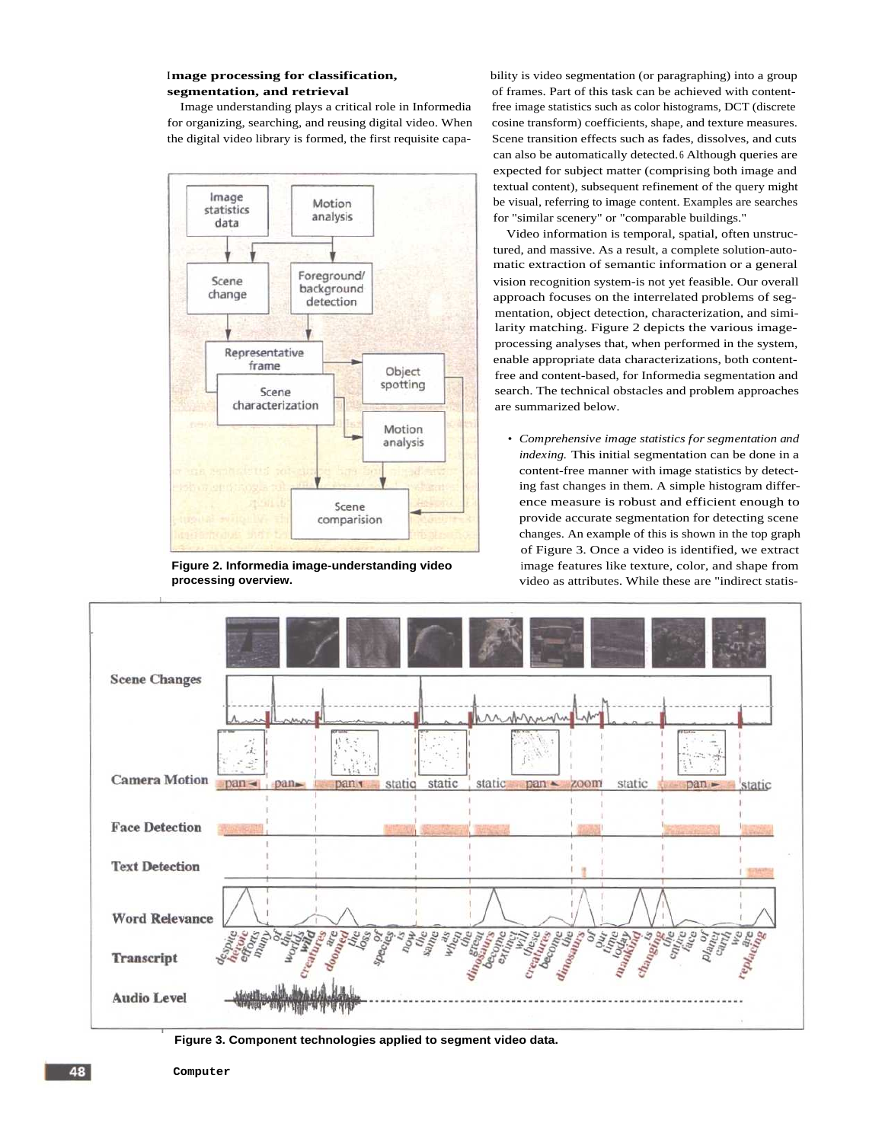#### **Image processing for classification, segmentation, and retrieval**

Image understanding plays a critical role in Informedia for organizing, searching, and reusing digital video. When the digital video library is formed, the first requisite capa-



**Figure 2. Informedia image-understanding video processing overview.**

bility is video segmentation (or paragraphing) into a group of frames. Part of this task can be achieved with contentfree image statistics such as color histograms, DCT (discrete cosine transform) coefficients, shape, and texture measures. Scene transition effects such as fades, dissolves, and cuts can also be automatically detected.6 Although queries are expected for subject matter (comprising both image and textual content), subsequent refinement of the query might be visual, referring to image content. Examples are searches for "similar scenery" or "comparable buildings."

Video information is temporal, spatial, often unstructured, and massive. As a result, a complete solution-automatic extraction of semantic information or a general vision recognition system-is not yet feasible. Our overall approach focuses on the interrelated problems of segmentation, object detection, characterization, and similarity matching. Figure 2 depicts the various imageprocessing analyses that, when performed in the system, enable appropriate data characterizations, both contentfree and content-based, for Informedia segmentation and search. The technical obstacles and problem approaches are summarized below.

*• Comprehensive image statistics for segmentation and indexing.* This initial segmentation can be done in a content-free manner with image statistics by detecting fast changes in them. A simple histogram difference measure is robust and efficient enough to provide accurate segmentation for detecting scene changes. An example of this is shown in the top graph of Figure 3. Once a video is identified, we extract image features like texture, color, and shape from video as attributes. While these are "indirect statis-



**Figure 3. Component technologies applied to segment video data.**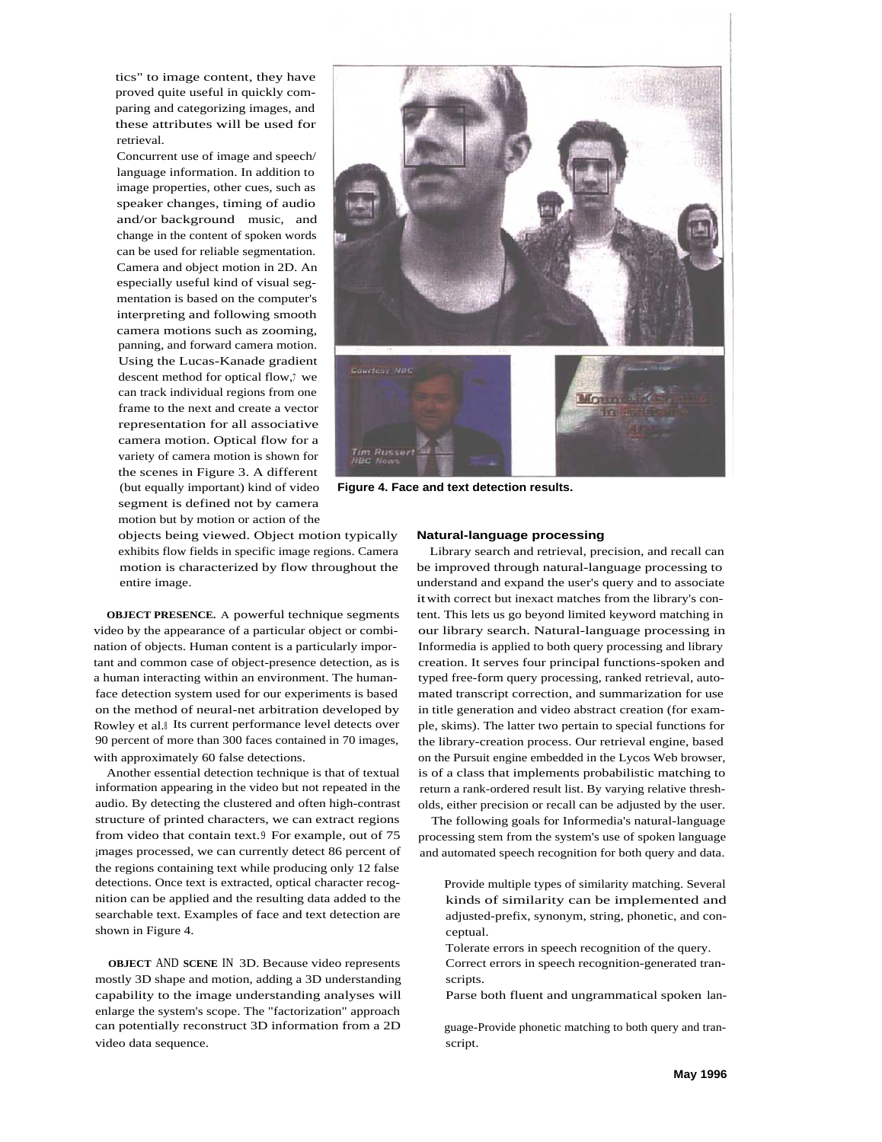tics" to image content, they have proved quite useful in quickly comparing and categorizing images, and these attributes will be used for retrieval.

Concurrent use of image and speech/ language information. In addition to image properties, other cues, such as speaker changes, timing of audio and/or background music, and change in the content of spoken words can be used for reliable segmentation. Camera and object motion in 2D. An especially useful kind of visual segmentation is based on the computer's interpreting and following smooth camera motions such as zooming, panning, and forward camera motion. Using the Lucas-Kanade gradient descent method for optical flow,7 we can track individual regions from one frame to the next and create a vector representation for all associative camera motion. Optical flow for a variety of camera motion is shown for the scenes in Figure 3. A different (but equally important) kind of video segment is defined not by camera motion but by motion or action of the



**Figure 4. Face and text detection results.**

objects being viewed. Object motion typically exhibits flow fields in specific image regions. Camera motion is characterized by flow throughout the entire image.

**OBJECT PRESENCE.** A powerful technique segments video by the appearance of a particular object or combination of objects. Human content is a particularly important and common case of object-presence detection, as is a human interacting within an environment. The humanface detection system used for our experiments is based on the method of neural-net arbitration developed by Rowley et al.8 Its current performance level detects over 90 percent of more than 300 faces contained in 70 images, with approximately 60 false detections.

Another essential detection technique is that of textual information appearing in the video but not repeated in the audio. By detecting the clustered and often high-contrast structure of printed characters, we can extract regions from video that contain text.9 For example, out of 75 images processed, we can currently detect 86 percent of the regions containing text while producing only 12 false detections. Once text is extracted, optical character recognition can be applied and the resulting data added to the searchable text. Examples of face and text detection are shown in Figure 4.

**OBJECT** AND **SCENE** IN 3D. Because video represents mostly 3D shape and motion, adding a 3D understanding capability to the image understanding analyses will enlarge the system's scope. The "factorization" approach can potentially reconstruct 3D information from a 2D video data sequence.

#### **Natural-language processing**

Library search and retrieval, precision, and recall can be improved through natural-language processing to understand and expand the user's query and to associate itwith correct but inexact matches from the library's content. This lets us go beyond limited keyword matching in our library search. Natural-language processing in Informedia is applied to both query processing and library creation. It serves four principal functions-spoken and typed free-form query processing, ranked retrieval, automated transcript correction, and summarization for use in title generation and video abstract creation (for example, skims). The latter two pertain to special functions for the library-creation process. Our retrieval engine, based on the Pursuit engine embedded in the Lycos Web browser, is of a class that implements probabilistic matching to return a rank-ordered result list. By varying relative thresholds, either precision or recall can be adjusted by the user.

The following goals for Informedia's natural-language processing stem from the system's use of spoken language and automated speech recognition for both query and data.

Provide multiple types of similarity matching. Several kinds of similarity can be implemented and adjusted-prefix, synonym, string, phonetic, and conceptual.

Tolerate errors in speech recognition of the query.

Correct errors in speech recognition-generated transcripts.

Parse both fluent and ungrammatical spoken lan-

guage-Provide phonetic matching to both query and transcript.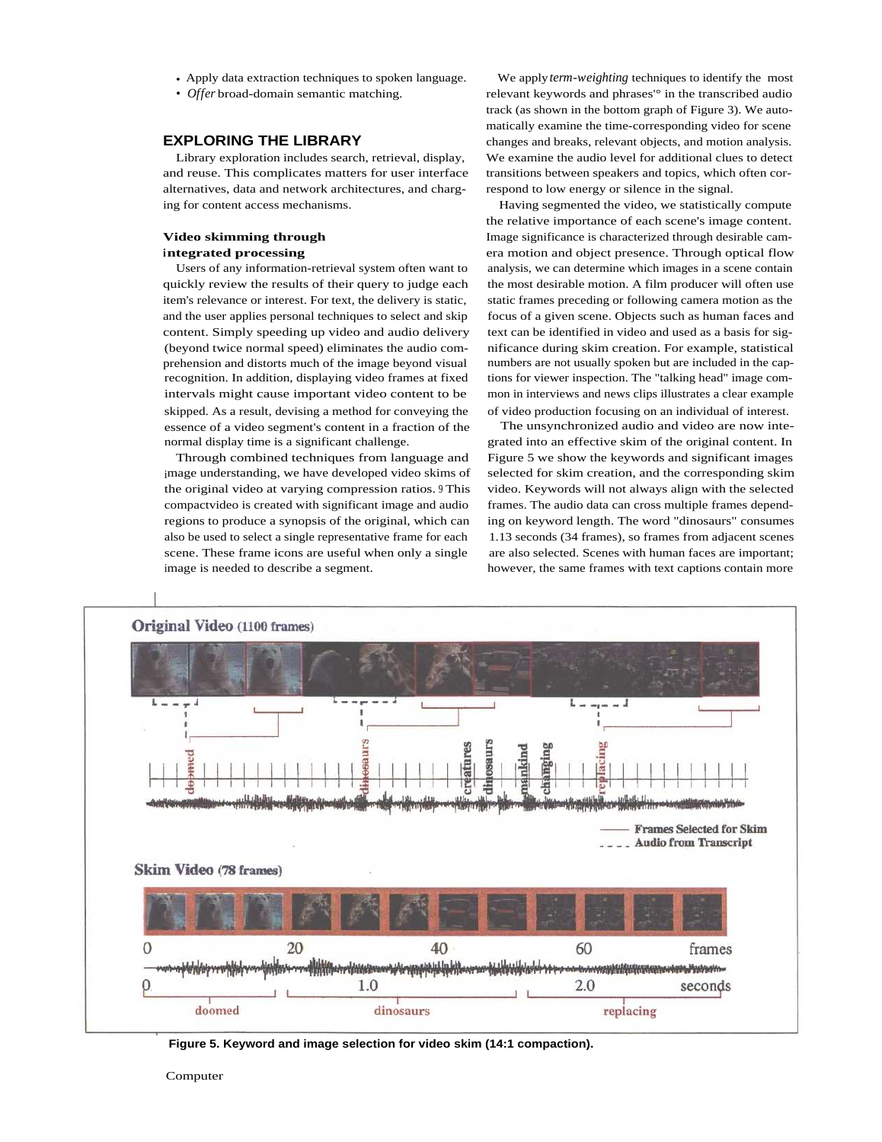- Apply data extraction techniques to spoken language.
- *• Offer* broad-domain semantic matching.

# **EXPLORING THE LIBRARY**

Library exploration includes search, retrieval, display, and reuse. This complicates matters for user interface alternatives, data and network architectures, and charging for content access mechanisms.

## **Video skimming through integrated processing**

Users of any information-retrieval system often want to quickly review the results of their query to judge each item's relevance or interest. For text, the delivery is static, and the user applies personal techniques to select and skip content. Simply speeding up video and audio delivery (beyond twice normal speed) eliminates the audio comprehension and distorts much of the image beyond visual recognition. In addition, displaying video frames at fixed intervals might cause important video content to be skipped. As a result, devising a method for conveying the essence of a video segment's content in a fraction of the normal display time is a significant challenge.

Through combined techniques from language and image understanding, we have developed video skims of the original video at varying compression ratios. <sup>9</sup> This compactvideo is created with significant image and audio regions to produce a synopsis of the original, which can also be used to select a single representative frame for each scene. These frame icons are useful when only a single image is needed to describe a segment.

We apply*term-weighting* techniques to identify the most relevant keywords and phrases'° in the transcribed audio track (as shown in the bottom graph of Figure 3). We automatically examine the time-corresponding video for scene changes and breaks, relevant objects, and motion analysis. We examine the audio level for additional clues to detect transitions between speakers and topics, which often correspond to low energy or silence in the signal.

Having segmented the video, we statistically compute the relative importance of each scene's image content. Image significance is characterized through desirable camera motion and object presence. Through optical flow analysis, we can determine which images in a scene contain the most desirable motion. A film producer will often use static frames preceding or following camera motion as the focus of a given scene. Objects such as human faces and text can be identified in video and used as a basis for significance during skim creation. For example, statistical numbers are not usually spoken but are included in the captions for viewer inspection. The "talking head" image common in interviews and news clips illustrates a clear example of video production focusing on an individual of interest.

The unsynchronized audio and video are now integrated into an effective skim of the original content. In Figure 5 we show the keywords and significant images selected for skim creation, and the corresponding skim video. Keywords will not always align with the selected frames. The audio data can cross multiple frames depending on keyword length. The word "dinosaurs" consumes 1.13 seconds (34 frames), so frames from adjacent scenes are also selected. Scenes with human faces are important; however, the same frames with text captions contain more



**Figure 5. Keyword and image selection for video skim (14:1 compaction).**

Computer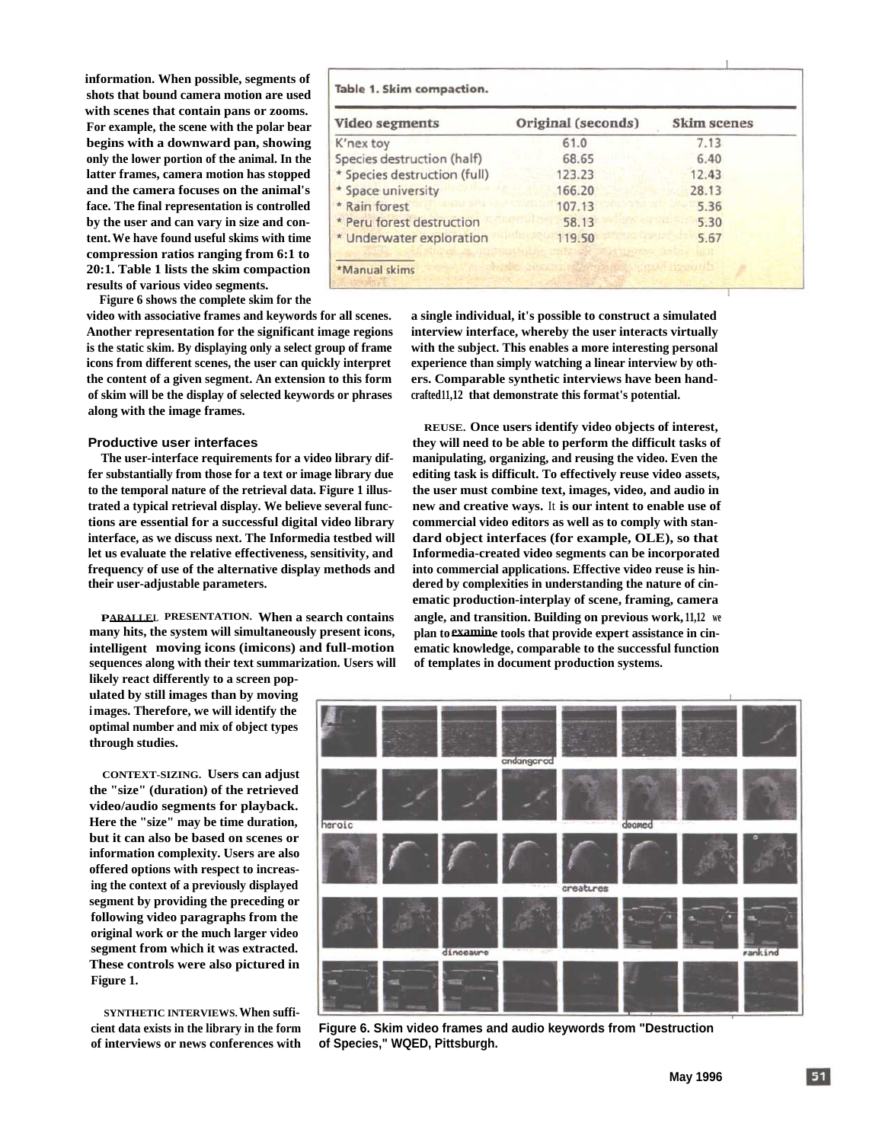**information. When possible, segments of shots that bound camera motion are used with scenes that contain pans or zooms. For example, the scene with the polar bear begins with a downward pan, showing only the lower portion of the animal. In the latter frames, camera motion has stopped and the camera focuses on the animal's face. The final representation is controlled by the user and can vary in size and content.We have found useful skims with time compression ratios ranging from 6:1 to 20:1. Table 1 lists the skim compaction results of various video segments.**

**Figure 6 shows the complete skim for the**

**video with associative frames and keywords for all scenes. Another representation for the significant image regions is the static skim. By displaying only a select group of frame icons from different scenes, the user can quickly interpret the content of a given segment. An extension to this form of skim will be the display of selected keywords or phrases along with the image frames.**

### **Productive user interfaces**

**The user-interface requirements for a video library differ substantially from those for a text or image library due to the temporal nature of the retrieval data. Figure 1 illustrated a typical retrieval display. We believe several functions are essential for a successful digital video library interface, as we discuss next. The Informedia testbed will let us evaluate the relative effectiveness, sensitivity, and frequency of use of the alternative display methods and their user-adjustable parameters.**

**PARALLEL PRESENTATION. When a search contains many hits, the system will simultaneously present icons, intelligent moving icons (imicons) and full-motion sequences along with their text summarization. Users will**

**likely react differently to a screen populated by still images than by moving images. Therefore, we will identify the optimal number and mix of object types through studies.**

**CONTEXT-SIZING. Users can adjust the "size" (duration) of the retrieved video/audio segments for playback. Here the "size" may be time duration, but it can also be based on scenes or information complexity. Users are also offered options with respect to increasing the context of a previously displayed segment by providing the preceding or following video paragraphs from the original work or the much larger video segment from which it was extracted. These controls were also pictured in Figure 1.**

**SYNTHETIC INTERVIEWS.When sufficient data exists in the library in the form of interviews or news conferences with**

| Video segments               | Original (seconds)     | <b>Skim scenes</b> |
|------------------------------|------------------------|--------------------|
| K'nex toy                    | 61.0                   | 7.13               |
| Species destruction (half)   | 68.65                  | 6.40               |
| * Species destruction (full) | 123.23                 | 12.43              |
| * Space university           | 166.20                 | 28.13              |
| * Rain forest                | 107.13                 | 5.36               |
| * Peru forest destruction    | 58.13<br>The May State | 5.30               |
| * Underwater exploration     | 119.50                 | 5.67               |

**a single individual, it's possible to construct a simulated interview interface, whereby the user interacts virtually with the subject. This enables a more interesting personal experience than simply watching a linear interview by others. Comparable synthetic interviews have been handcrafted11,12 that demonstrate this format's potential.**

**REUSE. Once users identify video objects of interest, they will need to be able to perform the difficult tasks of manipulating, organizing, and reusing the video. Even the editing task is difficult. To effectively reuse video assets, the user must combine text, images, video, and audio in new and creative ways.** It **is our intent to enable use of commercial video editors as well as to comply with standard object interfaces (for example, OLE), so that Informedia-created video segments can be incorporated into commercial applications. Effective video reuse is hindered by complexities in understanding the nature of cinematic production-interplay of scene, framing, camera angle, and transition. Building on previous work, 11,12 we plan to examine tools that provide expert assistance in cinematic knowledge, comparable to the successful function of templates in document production systems.**



**Figure 6. Skim video frames and audio keywords from "Destruction of Species," WQED, Pittsburgh.**